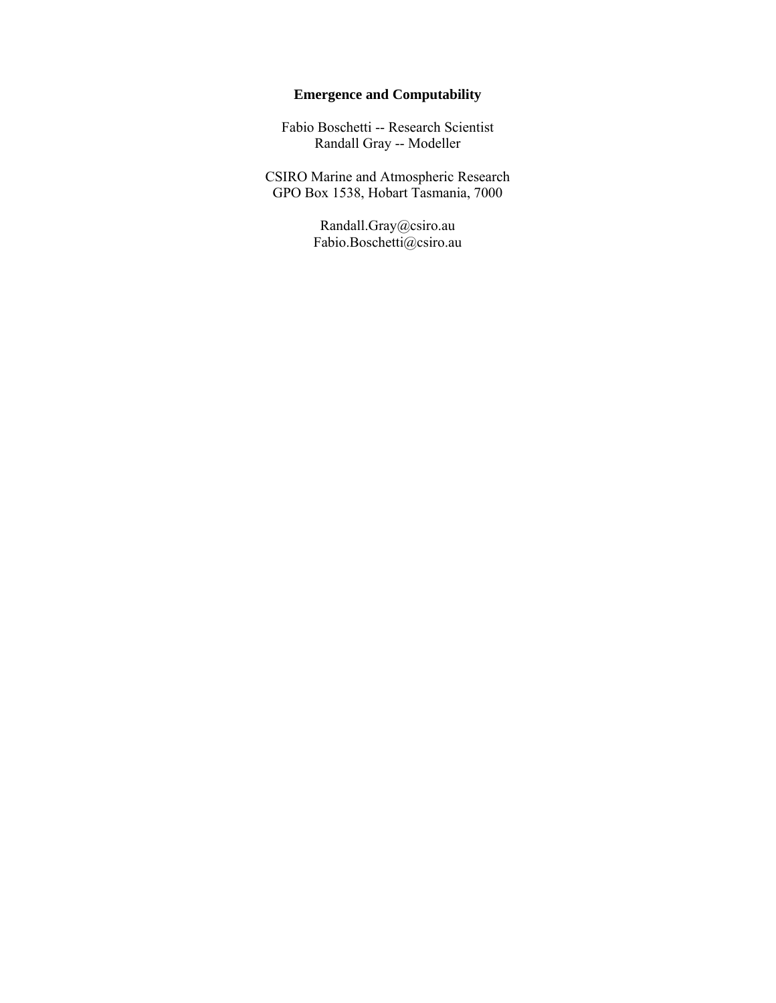# **Emergence and Computability**

Fabio Boschetti -- Research Scientist Randall Gray -- Modeller

CSIRO Marine and Atmospheric Research GPO Box 1538, Hobart Tasmania, 7000

> Randall.Gray@csiro.au Fabio.Boschetti@csiro.au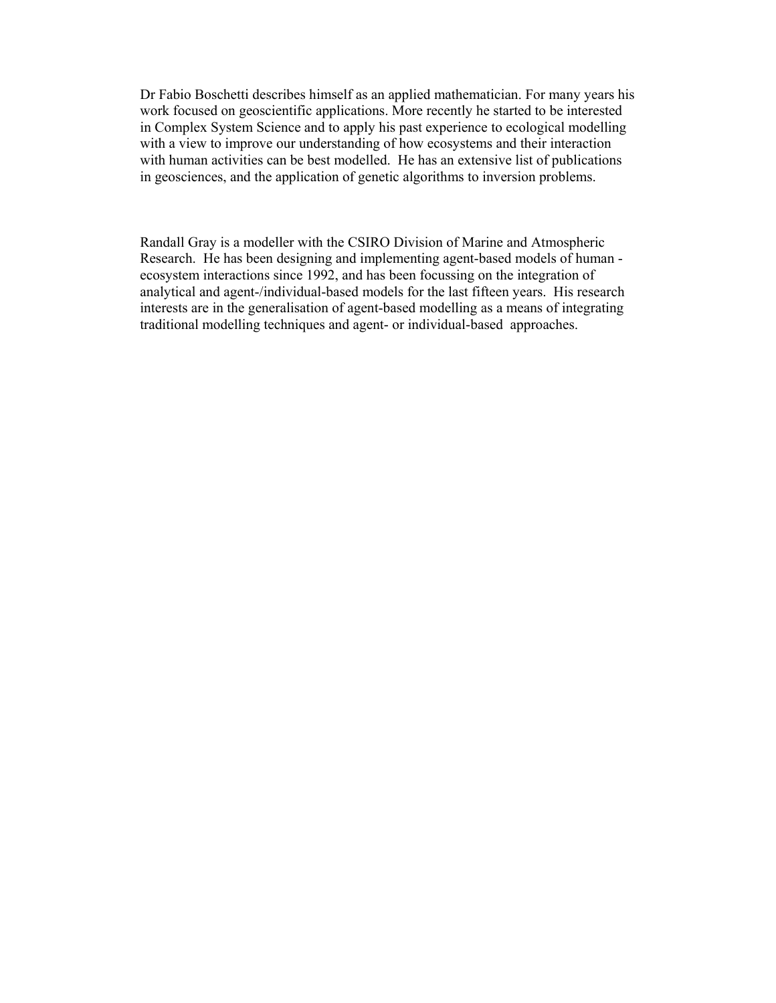Dr Fabio Boschetti describes himself as an applied mathematician. For many years his work focused on geoscientific applications. More recently he started to be interested in Complex System Science and to apply his past experience to ecological modelling with a view to improve our understanding of how ecosystems and their interaction with human activities can be best modelled. He has an extensive list of publications in geosciences, and the application of genetic algorithms to inversion problems.

Randall Gray is a modeller with the CSIRO Division of Marine and Atmospheric Research. He has been designing and implementing agent-based models of human ecosystem interactions since 1992, and has been focussing on the integration of analytical and agent-/individual-based models for the last fifteen years. His research interests are in the generalisation of agent-based modelling as a means of integrating traditional modelling techniques and agent- or individual-based approaches.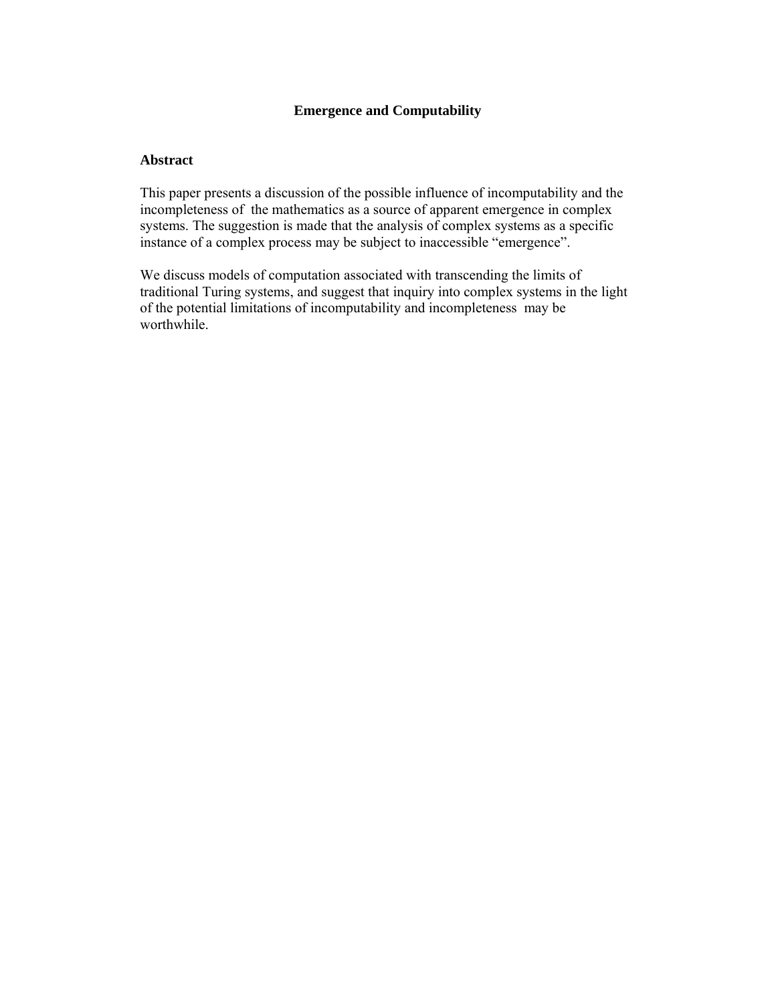# **Emergence and Computability**

## **Abstract**

This paper presents a discussion of the possible influence of incomputability and the incompleteness of the mathematics as a source of apparent emergence in complex systems. The suggestion is made that the analysis of complex systems as a specific instance of a complex process may be subject to inaccessible "emergence".

We discuss models of computation associated with transcending the limits of traditional Turing systems, and suggest that inquiry into complex systems in the light of the potential limitations of incomputability and incompleteness may be worthwhile.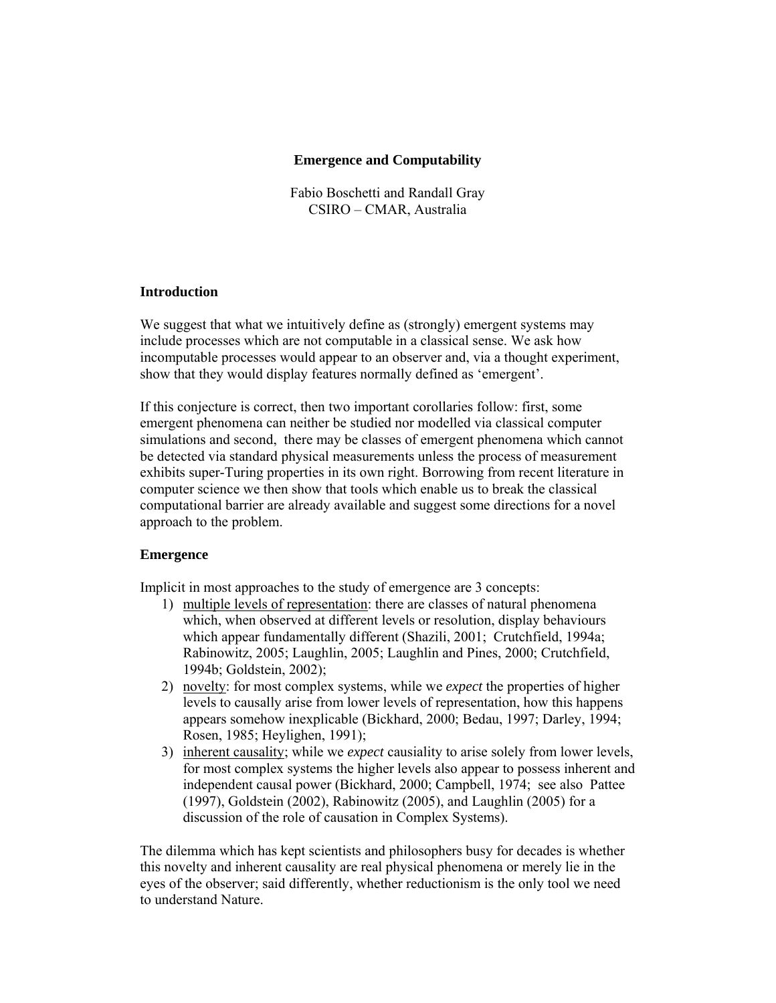## **Emergence and Computability**

Fabio Boschetti and Randall Gray CSIRO – CMAR, Australia

## **Introduction**

We suggest that what we intuitively define as (strongly) emergent systems may include processes which are not computable in a classical sense. We ask how incomputable processes would appear to an observer and, via a thought experiment, show that they would display features normally defined as 'emergent'.

If this conjecture is correct, then two important corollaries follow: first, some emergent phenomena can neither be studied nor modelled via classical computer simulations and second, there may be classes of emergent phenomena which cannot be detected via standard physical measurements unless the process of measurement exhibits super-Turing properties in its own right. Borrowing from recent literature in computer science we then show that tools which enable us to break the classical computational barrier are already available and suggest some directions for a novel approach to the problem.

## **Emergence**

Implicit in most approaches to the study of emergence are 3 concepts:

- 1) multiple levels of representation: there are classes of natural phenomena which, when observed at different levels or resolution, display behaviours which appear fundamentally different (Shazili, 2001; Crutchfield, 1994a; Rabinowitz, 2005; Laughlin, 2005; Laughlin and Pines, 2000; Crutchfield, 1994b; Goldstein, 2002);
- 2) novelty: for most complex systems, while we *expect* the properties of higher levels to causally arise from lower levels of representation, how this happens appears somehow inexplicable (Bickhard, 2000; Bedau, 1997; Darley, 1994; Rosen, 1985; Heylighen, 1991);
- 3) inherent causality; while we *expect* causiality to arise solely from lower levels, for most complex systems the higher levels also appear to possess inherent and independent causal power (Bickhard, 2000; Campbell, 1974; see also Pattee (1997), Goldstein (2002), Rabinowitz (2005), and Laughlin (2005) for a discussion of the role of causation in Complex Systems).

The dilemma which has kept scientists and philosophers busy for decades is whether this novelty and inherent causality are real physical phenomena or merely lie in the eyes of the observer; said differently, whether reductionism is the only tool we need to understand Nature.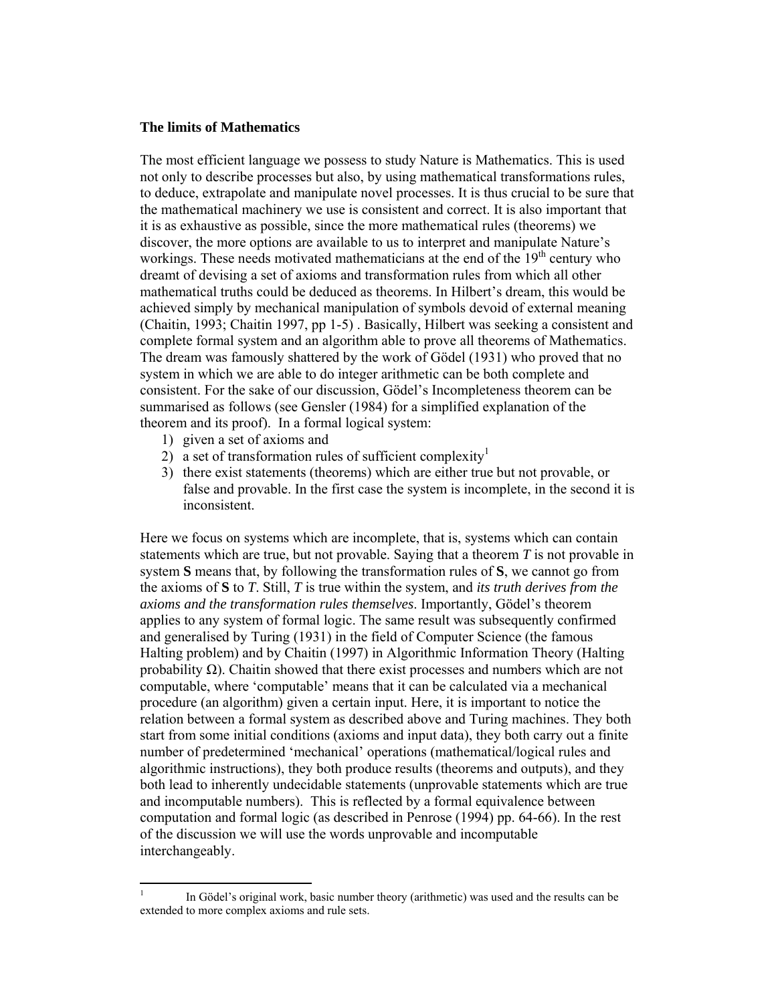#### **The limits of Mathematics**

The most efficient language we possess to study Nature is Mathematics. This is used not only to describe processes but also, by using mathematical transformations rules, to deduce, extrapolate and manipulate novel processes. It is thus crucial to be sure that the mathematical machinery we use is consistent and correct. It is also important that it is as exhaustive as possible, since the more mathematical rules (theorems) we discover, the more options are available to us to interpret and manipulate Nature's workings. These needs motivated mathematicians at the end of the  $19<sup>th</sup>$  century who dreamt of devising a set of axioms and transformation rules from which all other mathematical truths could be deduced as theorems. In Hilbert's dream, this would be achieved simply by mechanical manipulation of symbols devoid of external meaning (Chaitin, 1993; Chaitin 1997, pp 1-5) . Basically, Hilbert was seeking a consistent and complete formal system and an algorithm able to prove all theorems of Mathematics. The dream was famously shattered by the work of Gödel (1931) who proved that no system in which we are able to do integer arithmetic can be both complete and consistent. For the sake of our discussion, Gödel's Incompleteness theorem can be summarised as follows (see Gensler (1984) for a simplified explanation of the theorem and its proof). In a formal logical system:

1) given a set of axioms and

 $\overline{a}$ 

- 2) a set of transformation rules of sufficient complexity
- 3) there exist statements (theorems) which are either true but not provable, or false and provable. In the first case the system is incomplete, in the second it is inconsistent.

Here we focus on systems which are incomplete, that is, systems which can contain statements which are true, but not provable. Saying that a theorem *T* is not provable in system **S** means that, by following the transformation rules of **S**, we cannot go from the axioms of **S** to *T*. Still, *T* is true within the system, and *its truth derives from the axioms and the transformation rules themselves*. Importantly, Gödel's theorem applies to any system of formal logic. The same result was subsequently confirmed and generalised by Turing (1931) in the field of Computer Science (the famous Halting problem) and by Chaitin (1997) in Algorithmic Information Theory (Halting probability  $\Omega$ ). Chaitin showed that there exist processes and numbers which are not computable, where 'computable' means that it can be calculated via a mechanical procedure (an algorithm) given a certain input. Here, it is important to notice the relation between a formal system as described above and Turing machines. They both start from some initial conditions (axioms and input data), they both carry out a finite number of predetermined 'mechanical' operations (mathematical/logical rules and algorithmic instructions), they both produce results (theorems and outputs), and they both lead to inherently undecidable statements (unprovable statements which are true and incomputable numbers). This is reflected by a formal equivalence between computation and formal logic (as described in Penrose (1994) pp. 64-66). In the rest of the discussion we will use the words unprovable and incomputable interchangeably.

<sup>1</sup> In Gödel's original work, basic number theory (arithmetic) was used and the results can be extended to more complex axioms and rule sets.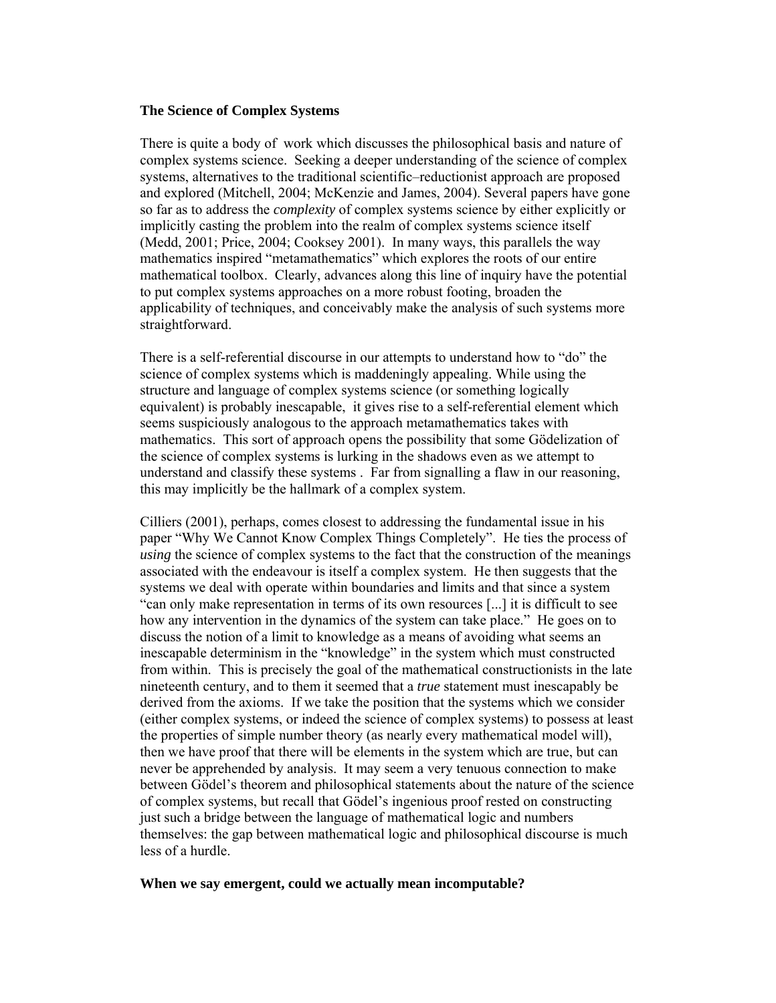## **The Science of Complex Systems**

There is quite a body of work which discusses the philosophical basis and nature of complex systems science. Seeking a deeper understanding of the science of complex systems, alternatives to the traditional scientific–reductionist approach are proposed and explored (Mitchell, 2004; McKenzie and James, 2004). Several papers have gone so far as to address the *complexity* of complex systems science by either explicitly or implicitly casting the problem into the realm of complex systems science itself (Medd, 2001; Price, 2004; Cooksey 2001). In many ways, this parallels the way mathematics inspired "metamathematics" which explores the roots of our entire mathematical toolbox. Clearly, advances along this line of inquiry have the potential to put complex systems approaches on a more robust footing, broaden the applicability of techniques, and conceivably make the analysis of such systems more straightforward.

There is a self-referential discourse in our attempts to understand how to "do" the science of complex systems which is maddeningly appealing. While using the structure and language of complex systems science (or something logically equivalent) is probably inescapable, it gives rise to a self-referential element which seems suspiciously analogous to the approach metamathematics takes with mathematics. This sort of approach opens the possibility that some Gödelization of the science of complex systems is lurking in the shadows even as we attempt to understand and classify these systems . Far from signalling a flaw in our reasoning, this may implicitly be the hallmark of a complex system.

Cilliers (2001), perhaps, comes closest to addressing the fundamental issue in his paper "Why We Cannot Know Complex Things Completely". He ties the process of *using* the science of complex systems to the fact that the construction of the meanings associated with the endeavour is itself a complex system. He then suggests that the systems we deal with operate within boundaries and limits and that since a system "can only make representation in terms of its own resources [...] it is difficult to see how any intervention in the dynamics of the system can take place." He goes on to discuss the notion of a limit to knowledge as a means of avoiding what seems an inescapable determinism in the "knowledge" in the system which must constructed from within. This is precisely the goal of the mathematical constructionists in the late nineteenth century, and to them it seemed that a *true* statement must inescapably be derived from the axioms. If we take the position that the systems which we consider (either complex systems, or indeed the science of complex systems) to possess at least the properties of simple number theory (as nearly every mathematical model will), then we have proof that there will be elements in the system which are true, but can never be apprehended by analysis. It may seem a very tenuous connection to make between Gödel's theorem and philosophical statements about the nature of the science of complex systems, but recall that Gödel's ingenious proof rested on constructing just such a bridge between the language of mathematical logic and numbers themselves: the gap between mathematical logic and philosophical discourse is much less of a hurdle.

#### **When we say emergent, could we actually mean incomputable?**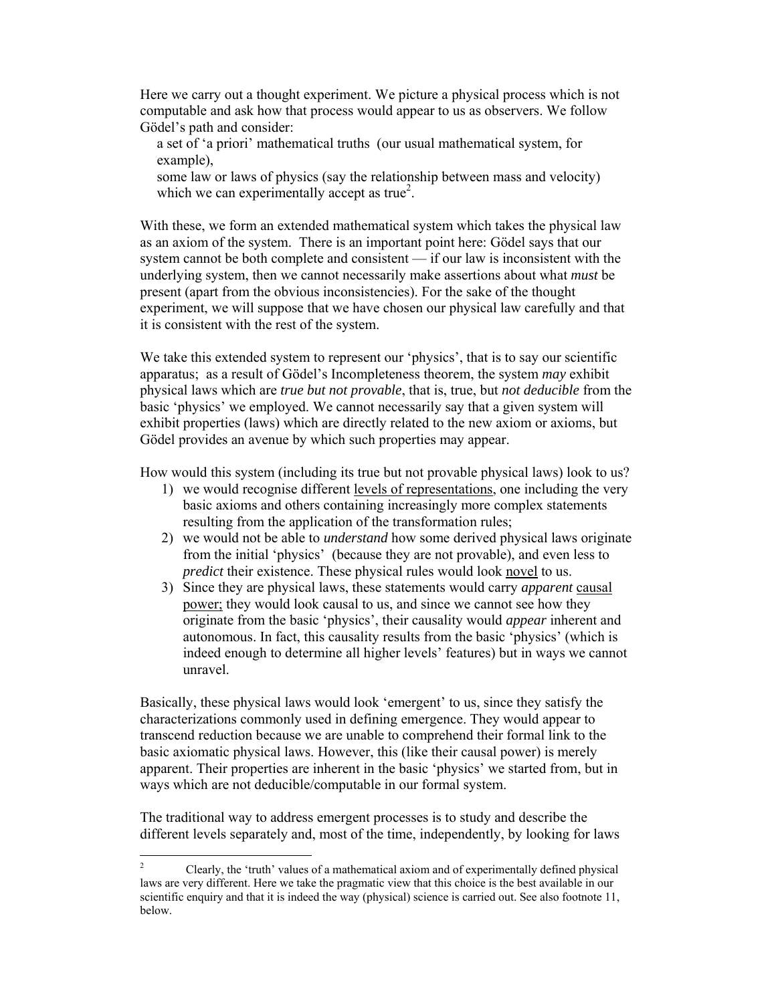Here we carry out a thought experiment. We picture a physical process which is not computable and ask how that process would appear to us as observers. We follow Gödel's path and consider:

a set of 'a priori' mathematical truths (our usual mathematical system, for example),

some law or laws of physics (say the relationship between mass and velocity) which we can experimentally accept as true<sup>2</sup>.

With these, we form an extended mathematical system which takes the physical law as an axiom of the system. There is an important point here: Gödel says that our system cannot be both complete and consistent — if our law is inconsistent with the underlying system, then we cannot necessarily make assertions about what *must* be present (apart from the obvious inconsistencies). For the sake of the thought experiment, we will suppose that we have chosen our physical law carefully and that it is consistent with the rest of the system.

We take this extended system to represent our 'physics', that is to say our scientific apparatus; as a result of Gödel's Incompleteness theorem, the system *may* exhibit physical laws which are *true but not provable*, that is, true, but *not deducible* from the basic 'physics' we employed. We cannot necessarily say that a given system will exhibit properties (laws) which are directly related to the new axiom or axioms, but Gödel provides an avenue by which such properties may appear.

How would this system (including its true but not provable physical laws) look to us?

- 1) we would recognise different levels of representations, one including the very basic axioms and others containing increasingly more complex statements resulting from the application of the transformation rules;
- 2) we would not be able to *understand* how some derived physical laws originate from the initial 'physics' (because they are not provable), and even less to *predict* their existence. These physical rules would look novel to us.
- 3) Since they are physical laws, these statements would carry *apparent* causal power; they would look causal to us, and since we cannot see how they originate from the basic 'physics', their causality would *appear* inherent and autonomous. In fact, this causality results from the basic 'physics' (which is indeed enough to determine all higher levels' features) but in ways we cannot unravel.

Basically, these physical laws would look 'emergent' to us, since they satisfy the characterizations commonly used in defining emergence. They would appear to transcend reduction because we are unable to comprehend their formal link to the basic axiomatic physical laws. However, this (like their causal power) is merely apparent. Their properties are inherent in the basic 'physics' we started from, but in ways which are not deducible/computable in our formal system.

The traditional way to address emergent processes is to study and describe the different levels separately and, most of the time, independently, by looking for laws

 $\frac{1}{2}$  Clearly, the 'truth' values of a mathematical axiom and of experimentally defined physical laws are very different. Here we take the pragmatic view that this choice is the best available in our scientific enquiry and that it is indeed the way (physical) science is carried out. See also footnote 11, below.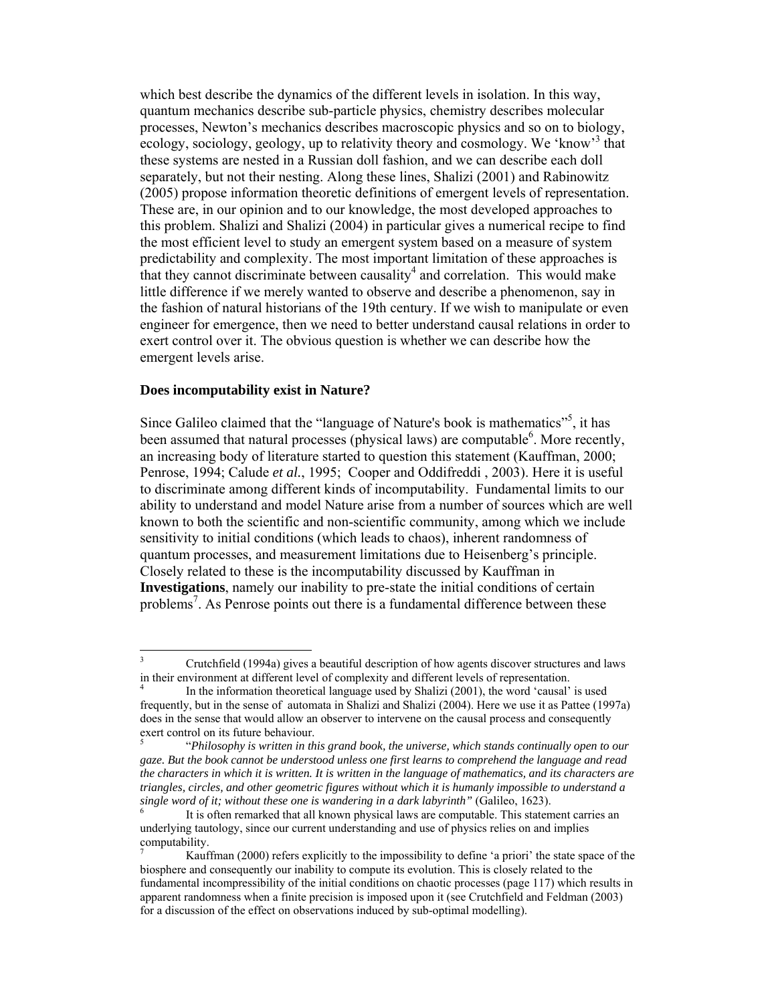which best describe the dynamics of the different levels in isolation. In this way, quantum mechanics describe sub-particle physics, chemistry describes molecular processes, Newton's mechanics describes macroscopic physics and so on to biology, ecology, sociology, geology, up to relativity theory and cosmology. We 'know'<sup>3</sup> that these systems are nested in a Russian doll fashion, and we can describe each doll separately, but not their nesting. Along these lines, Shalizi (2001) and Rabinowitz (2005) propose information theoretic definitions of emergent levels of representation. These are, in our opinion and to our knowledge, the most developed approaches to this problem. Shalizi and Shalizi (2004) in particular gives a numerical recipe to find the most efficient level to study an emergent system based on a measure of system predictability and complexity. The most important limitation of these approaches is that they cannot discriminate between causality<sup>4</sup> and correlation. This would make little difference if we merely wanted to observe and describe a phenomenon, say in the fashion of natural historians of the 19th century. If we wish to manipulate or even engineer for emergence, then we need to better understand causal relations in order to exert control over it. The obvious question is whether we can describe how the emergent levels arise.

#### **Does incomputability exist in Nature?**

Since Galileo claimed that the "language of Nature's book is mathematics"<sup>5</sup>, it has been assumed that natural processes (physical laws) are computable<sup>6</sup>. More recently, an increasing body of literature started to question this statement (Kauffman, 2000; Penrose, 1994; Calude *et al.*, 1995; Cooper and Oddifreddi , 2003). Here it is useful to discriminate among different kinds of incomputability. Fundamental limits to our ability to understand and model Nature arise from a number of sources which are well known to both the scientific and non-scientific community, among which we include sensitivity to initial conditions (which leads to chaos), inherent randomness of quantum processes, and measurement limitations due to Heisenberg's principle. Closely related to these is the incomputability discussed by Kauffman in **Investigations**, namely our inability to pre-state the initial conditions of certain problems<sup>7</sup>. As Penrose points out there is a fundamental difference between these

 $\frac{1}{3}$  Crutchfield (1994a) gives a beautiful description of how agents discover structures and laws in their environment at different level of complexity and different levels of representation.

<sup>4</sup> In the information theoretical language used by Shalizi (2001), the word 'causal' is used frequently, but in the sense of automata in Shalizi and Shalizi (2004). Here we use it as Pattee (1997a) does in the sense that would allow an observer to intervene on the causal process and consequently exert control on its future behaviour.

 <sup>&</sup>quot;*Philosophy is written in this grand book, the universe, which stands continually open to our gaze. But the book cannot be understood unless one first learns to comprehend the language and read the characters in which it is written. It is written in the language of mathematics, and its characters are triangles, circles, and other geometric figures without which it is humanly impossible to understand a single word of it; without these one is wandering in a dark labyrinth"* (Galileo, 1623).

It is often remarked that all known physical laws are computable. This statement carries an underlying tautology, since our current understanding and use of physics relies on and implies computability.

<sup>7</sup> Kauffman (2000) refers explicitly to the impossibility to define 'a priori' the state space of the biosphere and consequently our inability to compute its evolution. This is closely related to the fundamental incompressibility of the initial conditions on chaotic processes (page 117) which results in apparent randomness when a finite precision is imposed upon it (see Crutchfield and Feldman (2003) for a discussion of the effect on observations induced by sub-optimal modelling).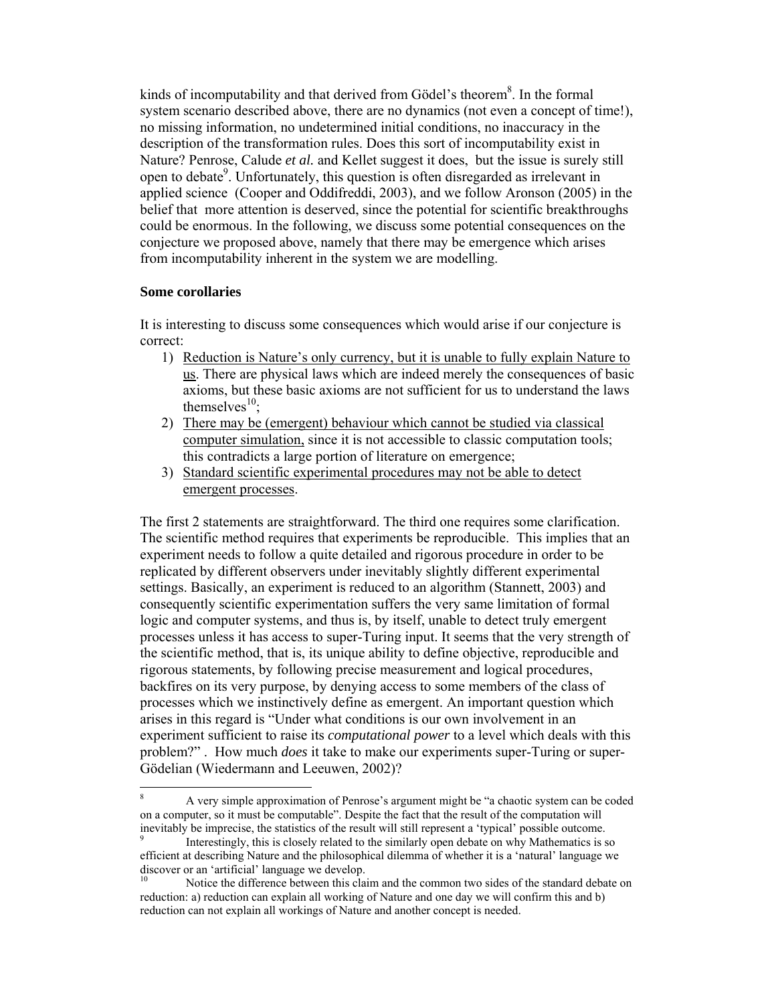kinds of incomputability and that derived from Gödel's theorem<sup>8</sup>. In the formal system scenario described above, there are no dynamics (not even a concept of time!), no missing information, no undetermined initial conditions, no inaccuracy in the description of the transformation rules. Does this sort of incomputability exist in Nature? Penrose, Calude *et al.* and Kellet suggest it does, but the issue is surely still open to debate<sup>9</sup>. Unfortunately, this question is often disregarded as irrelevant in applied science (Cooper and Oddifreddi, 2003), and we follow Aronson (2005) in the belief that more attention is deserved, since the potential for scientific breakthroughs could be enormous. In the following, we discuss some potential consequences on the conjecture we proposed above, namely that there may be emergence which arises from incomputability inherent in the system we are modelling.

## **Some corollaries**

 $\overline{a}$ 

It is interesting to discuss some consequences which would arise if our conjecture is correct:

- 1) Reduction is Nature's only currency, but it is unable to fully explain Nature to us. There are physical laws which are indeed merely the consequences of basic axioms, but these basic axioms are not sufficient for us to understand the laws themselves $^{10}$ :
- 2) There may be (emergent) behaviour which cannot be studied via classical computer simulation, since it is not accessible to classic computation tools; this contradicts a large portion of literature on emergence;
- 3) Standard scientific experimental procedures may not be able to detect emergent processes.

The first 2 statements are straightforward. The third one requires some clarification. The scientific method requires that experiments be reproducible. This implies that an experiment needs to follow a quite detailed and rigorous procedure in order to be replicated by different observers under inevitably slightly different experimental settings. Basically, an experiment is reduced to an algorithm (Stannett, 2003) and consequently scientific experimentation suffers the very same limitation of formal logic and computer systems, and thus is, by itself, unable to detect truly emergent processes unless it has access to super-Turing input. It seems that the very strength of the scientific method, that is, its unique ability to define objective, reproducible and rigorous statements, by following precise measurement and logical procedures, backfires on its very purpose, by denying access to some members of the class of processes which we instinctively define as emergent. An important question which arises in this regard is "Under what conditions is our own involvement in an experiment sufficient to raise its *computational power* to a level which deals with this problem?" . How much *does* it take to make our experiments super-Turing or super-Gödelian (Wiedermann and Leeuwen, 2002)?

<sup>8</sup> A very simple approximation of Penrose's argument might be "a chaotic system can be coded on a computer, so it must be computable". Despite the fact that the result of the computation will inevitably be imprecise, the statistics of the result will still represent a 'typical' possible outcome. 9

Interestingly, this is closely related to the similarly open debate on why Mathematics is so efficient at describing Nature and the philosophical dilemma of whether it is a 'natural' language we discover or an 'artificial' language we develop.

Notice the difference between this claim and the common two sides of the standard debate on reduction: a) reduction can explain all working of Nature and one day we will confirm this and b) reduction can not explain all workings of Nature and another concept is needed.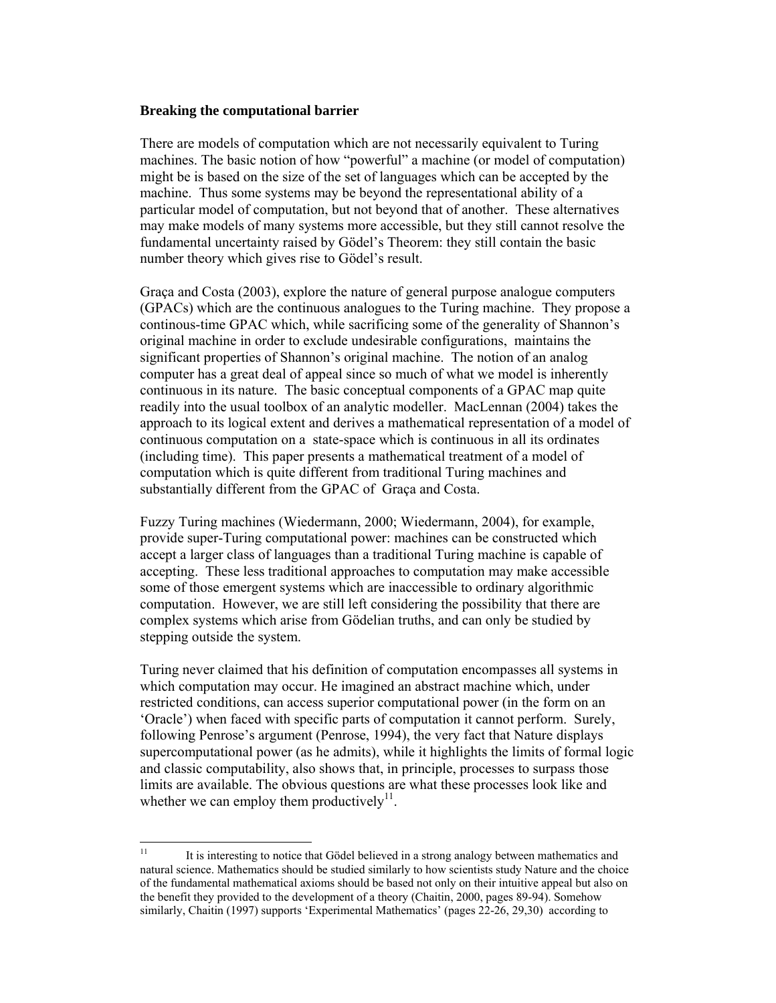### **Breaking the computational barrier**

There are models of computation which are not necessarily equivalent to Turing machines. The basic notion of how "powerful" a machine (or model of computation) might be is based on the size of the set of languages which can be accepted by the machine. Thus some systems may be beyond the representational ability of a particular model of computation, but not beyond that of another. These alternatives may make models of many systems more accessible, but they still cannot resolve the fundamental uncertainty raised by Gödel's Theorem: they still contain the basic number theory which gives rise to Gödel's result.

Graça and Costa (2003), explore the nature of general purpose analogue computers (GPACs) which are the continuous analogues to the Turing machine. They propose a continous-time GPAC which, while sacrificing some of the generality of Shannon's original machine in order to exclude undesirable configurations, maintains the significant properties of Shannon's original machine. The notion of an analog computer has a great deal of appeal since so much of what we model is inherently continuous in its nature. The basic conceptual components of a GPAC map quite readily into the usual toolbox of an analytic modeller. MacLennan (2004) takes the approach to its logical extent and derives a mathematical representation of a model of continuous computation on a state-space which is continuous in all its ordinates (including time). This paper presents a mathematical treatment of a model of computation which is quite different from traditional Turing machines and substantially different from the GPAC of Graça and Costa.

Fuzzy Turing machines (Wiedermann, 2000; Wiedermann, 2004), for example, provide super-Turing computational power: machines can be constructed which accept a larger class of languages than a traditional Turing machine is capable of accepting. These less traditional approaches to computation may make accessible some of those emergent systems which are inaccessible to ordinary algorithmic computation. However, we are still left considering the possibility that there are complex systems which arise from Gödelian truths, and can only be studied by stepping outside the system.

Turing never claimed that his definition of computation encompasses all systems in which computation may occur. He imagined an abstract machine which, under restricted conditions, can access superior computational power (in the form on an 'Oracle') when faced with specific parts of computation it cannot perform. Surely, following Penrose's argument (Penrose, 1994), the very fact that Nature displays supercomputational power (as he admits), while it highlights the limits of formal logic and classic computability, also shows that, in principle, processes to surpass those limits are available. The obvious questions are what these processes look like and whether we can employ them productively<sup>11</sup>.

 $11$ 11 It is interesting to notice that Gödel believed in a strong analogy between mathematics and natural science. Mathematics should be studied similarly to how scientists study Nature and the choice of the fundamental mathematical axioms should be based not only on their intuitive appeal but also on the benefit they provided to the development of a theory (Chaitin, 2000, pages 89-94). Somehow similarly, Chaitin (1997) supports 'Experimental Mathematics' (pages 22-26, 29,30) according to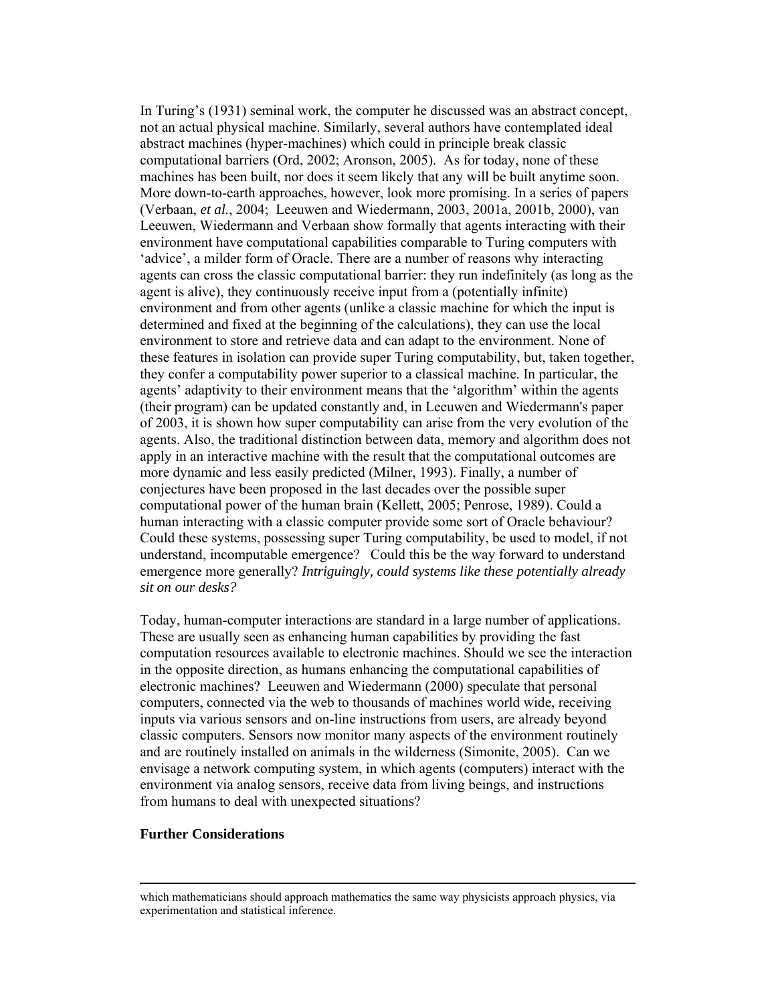In Turing's (1931) seminal work, the computer he discussed was an abstract concept, not an actual physical machine. Similarly, several authors have contemplated ideal abstract machines (hyper-machines) which could in principle break classic computational barriers (Ord, 2002; Aronson, 2005). As for today, none of these machines has been built, nor does it seem likely that any will be built anytime soon. More down-to-earth approaches, however, look more promising. In a series of papers (Verbaan, *et al.*, 2004; Leeuwen and Wiedermann, 2003, 2001a, 2001b, 2000), van Leeuwen, Wiedermann and Verbaan show formally that agents interacting with their environment have computational capabilities comparable to Turing computers with 'advice', a milder form of Oracle. There are a number of reasons why interacting agents can cross the classic computational barrier: they run indefinitely (as long as the agent is alive), they continuously receive input from a (potentially infinite) environment and from other agents (unlike a classic machine for which the input is determined and fixed at the beginning of the calculations), they can use the local environment to store and retrieve data and can adapt to the environment. None of these features in isolation can provide super Turing computability, but, taken together, they confer a computability power superior to a classical machine. In particular, the agents' adaptivity to their environment means that the 'algorithm' within the agents (their program) can be updated constantly and, in Leeuwen and Wiedermann's paper of 2003, it is shown how super computability can arise from the very evolution of the agents. Also, the traditional distinction between data, memory and algorithm does not apply in an interactive machine with the result that the computational outcomes are more dynamic and less easily predicted (Milner, 1993). Finally, a number of conjectures have been proposed in the last decades over the possible super computational power of the human brain (Kellett, 2005; Penrose, 1989). Could a human interacting with a classic computer provide some sort of Oracle behaviour? Could these systems, possessing super Turing computability, be used to model, if not understand, incomputable emergence? Could this be the way forward to understand emergence more generally? *Intriguingly, could systems like these potentially already sit on our desks?* 

Today, human-computer interactions are standard in a large number of applications. These are usually seen as enhancing human capabilities by providing the fast computation resources available to electronic machines. Should we see the interaction in the opposite direction, as humans enhancing the computational capabilities of electronic machines? Leeuwen and Wiedermann (2000) speculate that personal computers, connected via the web to thousands of machines world wide, receiving inputs via various sensors and on-line instructions from users, are already beyond classic computers. Sensors now monitor many aspects of the environment routinely and are routinely installed on animals in the wilderness (Simonite, 2005). Can we envisage a network computing system, in which agents (computers) interact with the environment via analog sensors, receive data from living beings, and instructions from humans to deal with unexpected situations?

#### **Further Considerations**

which mathematicians should approach mathematics the same way physicists approach physics, via experimentation and statistical inference.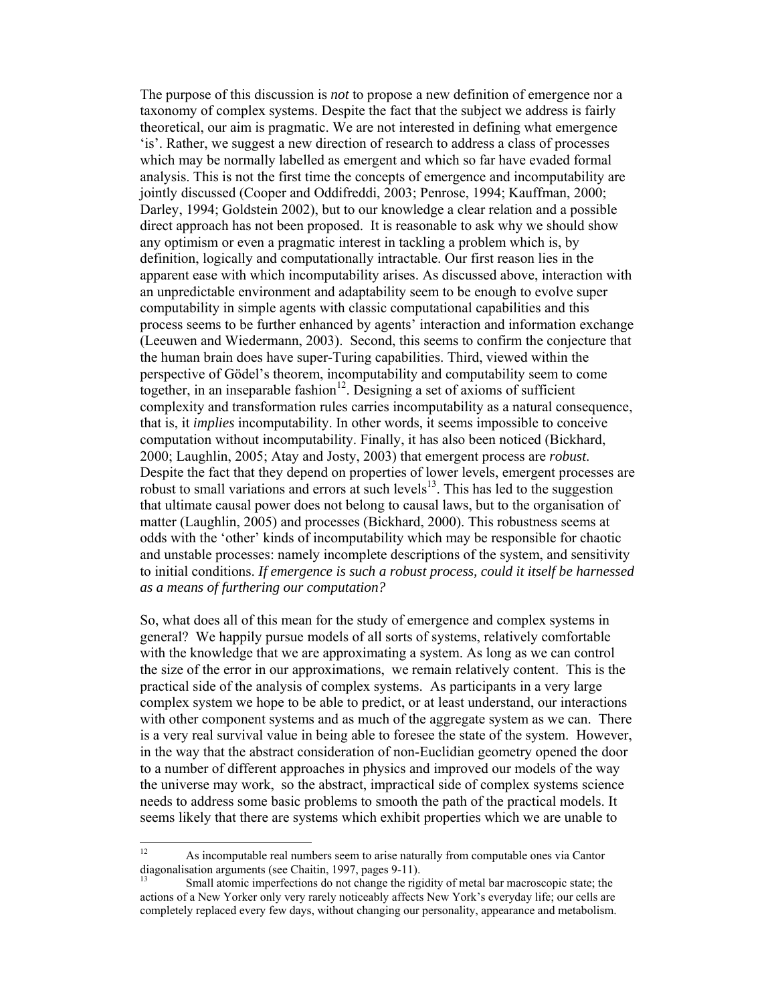The purpose of this discussion is *not* to propose a new definition of emergence nor a taxonomy of complex systems. Despite the fact that the subject we address is fairly theoretical, our aim is pragmatic. We are not interested in defining what emergence 'is'. Rather, we suggest a new direction of research to address a class of processes which may be normally labelled as emergent and which so far have evaded formal analysis. This is not the first time the concepts of emergence and incomputability are jointly discussed (Cooper and Oddifreddi, 2003; Penrose, 1994; Kauffman, 2000; Darley, 1994; Goldstein 2002), but to our knowledge a clear relation and a possible direct approach has not been proposed. It is reasonable to ask why we should show any optimism or even a pragmatic interest in tackling a problem which is, by definition, logically and computationally intractable. Our first reason lies in the apparent ease with which incomputability arises. As discussed above, interaction with an unpredictable environment and adaptability seem to be enough to evolve super computability in simple agents with classic computational capabilities and this process seems to be further enhanced by agents' interaction and information exchange (Leeuwen and Wiedermann, 2003). Second, this seems to confirm the conjecture that the human brain does have super-Turing capabilities. Third, viewed within the perspective of Gödel's theorem, incomputability and computability seem to come together, in an inseparable fashion<sup>12</sup>. Designing a set of axioms of sufficient complexity and transformation rules carries incomputability as a natural consequence, that is, it *implies* incomputability. In other words, it seems impossible to conceive computation without incomputability. Finally, it has also been noticed (Bickhard, 2000; Laughlin, 2005; Atay and Josty, 2003) that emergent process are *robust*. Despite the fact that they depend on properties of lower levels, emergent processes are robust to small variations and errors at such levels $13$ . This has led to the suggestion that ultimate causal power does not belong to causal laws, but to the organisation of matter (Laughlin, 2005) and processes (Bickhard, 2000). This robustness seems at odds with the 'other' kinds of incomputability which may be responsible for chaotic and unstable processes: namely incomplete descriptions of the system, and sensitivity to initial conditions. *If emergence is such a robust process, could it itself be harnessed as a means of furthering our computation?*

So, what does all of this mean for the study of emergence and complex systems in general? We happily pursue models of all sorts of systems, relatively comfortable with the knowledge that we are approximating a system. As long as we can control the size of the error in our approximations, we remain relatively content. This is the practical side of the analysis of complex systems. As participants in a very large complex system we hope to be able to predict, or at least understand, our interactions with other component systems and as much of the aggregate system as we can. There is a very real survival value in being able to foresee the state of the system. However, in the way that the abstract consideration of non-Euclidian geometry opened the door to a number of different approaches in physics and improved our models of the way the universe may work, so the abstract, impractical side of complex systems science needs to address some basic problems to smooth the path of the practical models. It seems likely that there are systems which exhibit properties which we are unable to

 $12$ As incomputable real numbers seem to arise naturally from computable ones via Cantor diagonalisation arguments (see Chaitin, 1997, pages 9-11).

Small atomic imperfections do not change the rigidity of metal bar macroscopic state; the actions of a New Yorker only very rarely noticeably affects New York's everyday life; our cells are completely replaced every few days, without changing our personality, appearance and metabolism.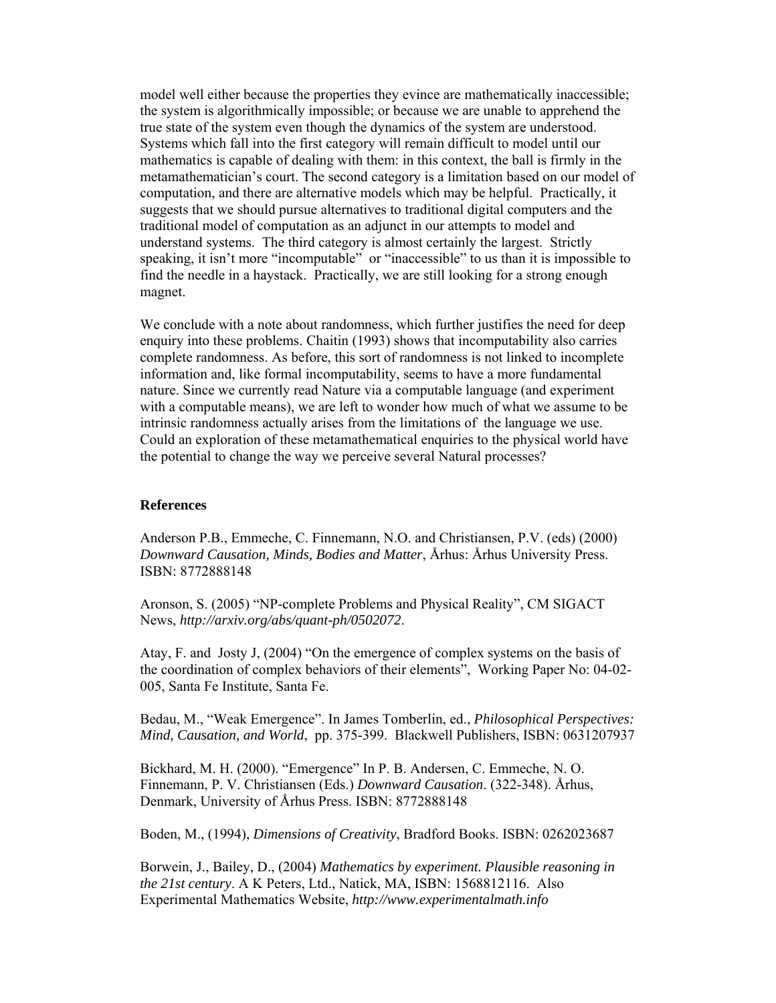model well either because the properties they evince are mathematically inaccessible; the system is algorithmically impossible; or because we are unable to apprehend the true state of the system even though the dynamics of the system are understood. Systems which fall into the first category will remain difficult to model until our mathematics is capable of dealing with them: in this context, the ball is firmly in the metamathematician's court. The second category is a limitation based on our model of computation, and there are alternative models which may be helpful. Practically, it suggests that we should pursue alternatives to traditional digital computers and the traditional model of computation as an adjunct in our attempts to model and understand systems. The third category is almost certainly the largest. Strictly speaking, it isn't more "incomputable" or "inaccessible" to us than it is impossible to find the needle in a haystack. Practically, we are still looking for a strong enough magnet.

We conclude with a note about randomness, which further justifies the need for deep enquiry into these problems. Chaitin (1993) shows that incomputability also carries complete randomness. As before, this sort of randomness is not linked to incomplete information and, like formal incomputability, seems to have a more fundamental nature. Since we currently read Nature via a computable language (and experiment with a computable means), we are left to wonder how much of what we assume to be intrinsic randomness actually arises from the limitations of the language we use. Could an exploration of these metamathematical enquiries to the physical world have the potential to change the way we perceive several Natural processes?

#### **References**

Anderson P.B., Emmeche, C. Finnemann, N.O. and Christiansen, P.V. (eds) (2000) *Downward Causation, Minds, Bodies and Matter*, Århus: Århus University Press. ISBN: 8772888148

Aronson, S. (2005) "NP-complete Problems and Physical Reality", CM SIGACT News, *http://arxiv.org/abs/quant-ph/0502072*.

Atay, F. and Josty J, (2004) "On the emergence of complex systems on the basis of the coordination of complex behaviors of their elements", Working Paper No: 04-02- 005, Santa Fe Institute, Santa Fe.

Bedau, M., "Weak Emergence". In James Tomberlin, ed., *Philosophical Perspectives: Mind, Causation, and World*, pp. 375-399. Blackwell Publishers, ISBN: 0631207937

Bickhard, M. H. (2000). "Emergence" In P. B. Andersen, C. Emmeche, N. O. Finnemann, P. V. Christiansen (Eds.) *Downward Causation*. (322-348). Århus, Denmark, University of Århus Press. ISBN: 8772888148

Boden, M., (1994), *Dimensions of Creativity*, Bradford Books. ISBN: 0262023687

Borwein, J., Bailey, D., (2004) *Mathematics by experiment. Plausible reasoning in the 21st century*. A K Peters, Ltd., Natick, MA, ISBN: 1568812116. Also Experimental Mathematics Website, *http://www.experimentalmath.info*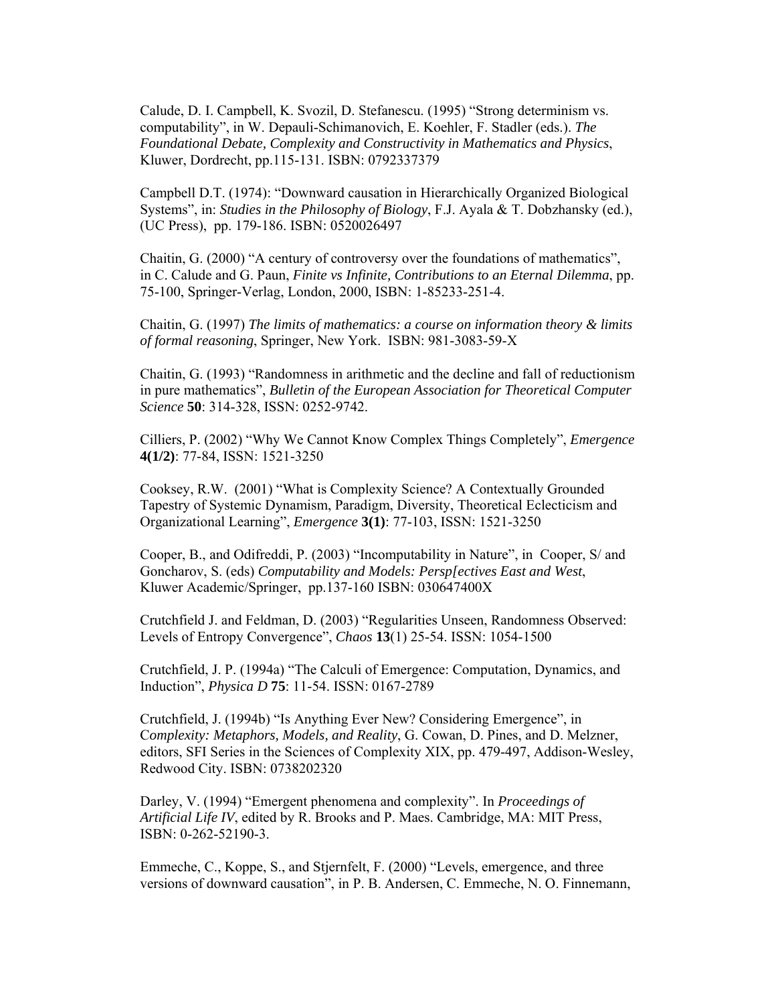Calude, D. I. Campbell, K. Svozil, D. Stefanescu. (1995) "Strong determinism vs. computability", in W. Depauli-Schimanovich, E. Koehler, F. Stadler (eds.). *The Foundational Debate, Complexity and Constructivity in Mathematics and Physics*, Kluwer, Dordrecht, pp.115-131. ISBN: 0792337379

Campbell D.T. (1974): "Downward causation in Hierarchically Organized Biological Systems", in: *Studies in the Philosophy of Biology*, F.J. Ayala & T. Dobzhansky (ed.), (UC Press), pp. 179-186. ISBN: 0520026497

Chaitin, G. (2000) "A century of controversy over the foundations of mathematics", in C. Calude and G. Paun, *Finite vs Infinite, Contributions to an Eternal Dilemma*, pp. 75-100, Springer-Verlag, London, 2000, ISBN: 1-85233-251-4.

Chaitin, G. (1997) *The limits of mathematics: a course on information theory & limits of formal reasoning*, Springer, New York. ISBN: 981-3083-59-X

Chaitin, G. (1993) "Randomness in arithmetic and the decline and fall of reductionism in pure mathematics", *Bulletin of the European Association for Theoretical Computer Science* **50**: 314-328, ISSN: 0252-9742.

Cilliers, P. (2002) "Why We Cannot Know Complex Things Completely", *Emergence* **4(1/2)**: 77-84, ISSN: 1521-3250

Cooksey, R.W. (2001) "What is Complexity Science? A Contextually Grounded Tapestry of Systemic Dynamism, Paradigm, Diversity, Theoretical Eclecticism and Organizational Learning", *Emergence* **3(1)**: 77-103, ISSN: 1521-3250

Cooper, B., and Odifreddi, P. (2003) "Incomputability in Nature", in Cooper, S/ and Goncharov, S. (eds) *Computability and Models: Persp[ectives East and West*, Kluwer Academic/Springer, pp.137-160 ISBN: 030647400X

Crutchfield J. and Feldman, D. (2003) "Regularities Unseen, Randomness Observed: Levels of Entropy Convergence", *Chaos* **13**(1) 25-54. ISSN: 1054-1500

Crutchfield, J. P. (1994a) "The Calculi of Emergence: Computation, Dynamics, and Induction", *Physica D* **75**: 11-54. ISSN: 0167-2789

Crutchfield, J. (1994b) "Is Anything Ever New? Considering Emergence", in C*omplexity: Metaphors, Models, and Reality*, G. Cowan, D. Pines, and D. Melzner, editors, SFI Series in the Sciences of Complexity XIX, pp. 479-497, Addison-Wesley, Redwood City. ISBN: 0738202320

Darley, V. (1994) "Emergent phenomena and complexity". In *Proceedings of Artificial Life IV*, edited by R. Brooks and P. Maes. Cambridge, MA: MIT Press, ISBN: 0-262-52190-3.

Emmeche, C., Koppe, S., and Stjernfelt, F. (2000) "Levels, emergence, and three versions of downward causation", in P. B. Andersen, C. Emmeche, N. O. Finnemann,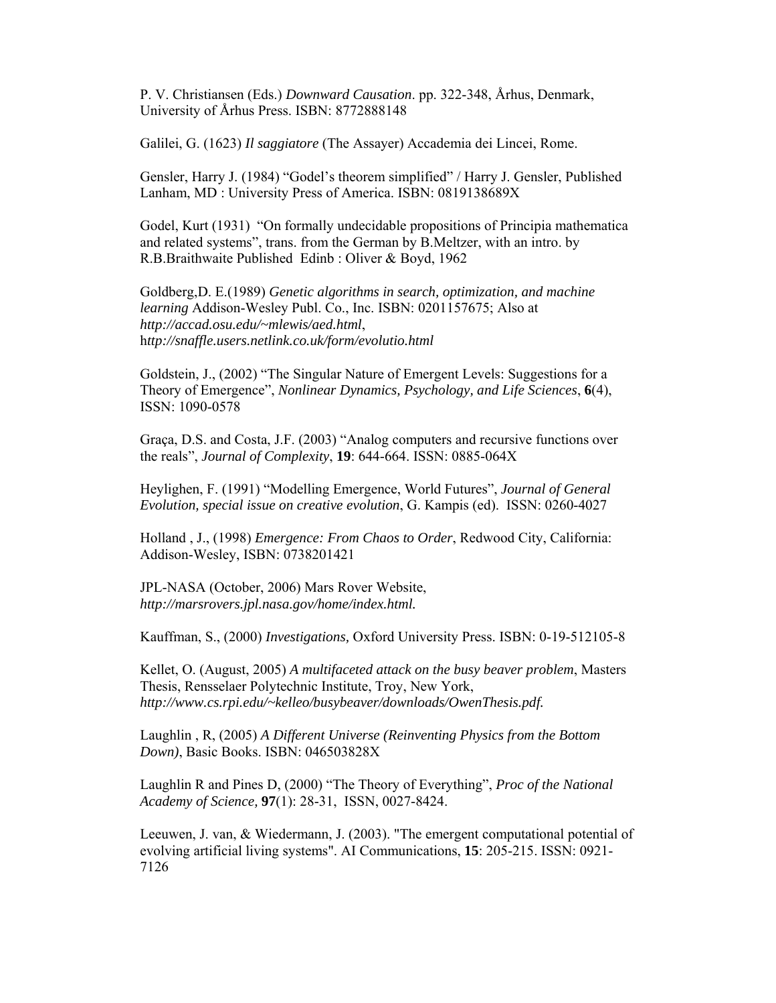P. V. Christiansen (Eds.) *Downward Causation*. pp. 322-348, Århus, Denmark, University of Århus Press. ISBN: 8772888148

Galilei, G. (1623) *Il saggiatore* (The Assayer) Accademia dei Lincei, Rome.

Gensler, Harry J. (1984) "Godel's theorem simplified" / Harry J. Gensler, Published Lanham, MD : University Press of America. ISBN: 0819138689X

Godel, Kurt (1931) "On formally undecidable propositions of Principia mathematica and related systems", trans. from the German by B.Meltzer, with an intro. by R.B.Braithwaite Published Edinb : Oliver & Boyd, 1962

Goldberg,D. E.(1989) *Genetic algorithms in search, optimization, and machine learning* Addison-Wesley Publ. Co., Inc. ISBN: 0201157675; Also at *http://accad.osu.edu/~mlewis/aed.html*, h*ttp://snaffle.users.netlink.co.uk/form/evolutio.html* 

Goldstein, J., (2002) "The Singular Nature of Emergent Levels: Suggestions for a Theory of Emergence", *Nonlinear Dynamics, Psychology, and Life Sciences*, **6**(4), ISSN: 1090-0578

Graça, D.S. and Costa, J.F. (2003) "Analog computers and recursive functions over the reals", *Journal of Complexity*, **19**: 644-664. ISSN: 0885-064X

Heylighen, F. (1991) "Modelling Emergence, World Futures", *Journal of General Evolution, special issue on creative evolution*, G. Kampis (ed). ISSN: 0260-4027

Holland , J., (1998) *Emergence: From Chaos to Order*, Redwood City, California: Addison-Wesley, ISBN: 0738201421

JPL-NASA (October, 2006) Mars Rover Website, *http://marsrovers.jpl.nasa.gov/home/index.html.* 

Kauffman, S., (2000) *Investigations,* Oxford University Press. ISBN: 0-19-512105-8

Kellet, O. (August, 2005) *A multifaceted attack on the busy beaver problem*, Masters Thesis, Rensselaer Polytechnic Institute, Troy, New York, *http://www.cs.rpi.edu/~kelleo/busybeaver/downloads/OwenThesis.pdf.*

Laughlin , R, (2005) *A Different Universe (Reinventing Physics from the Bottom Down)*, Basic Books. ISBN: 046503828X

Laughlin R and Pines D, (2000) "The Theory of Everything", *Proc of the National Academy of Science,* **97**(1): 28-31, ISSN, 0027-8424.

Leeuwen, J. van, & Wiedermann, J. (2003). "The emergent computational potential of evolving artificial living systems". AI Communications, **15**: 205-215. ISSN: 0921- 7126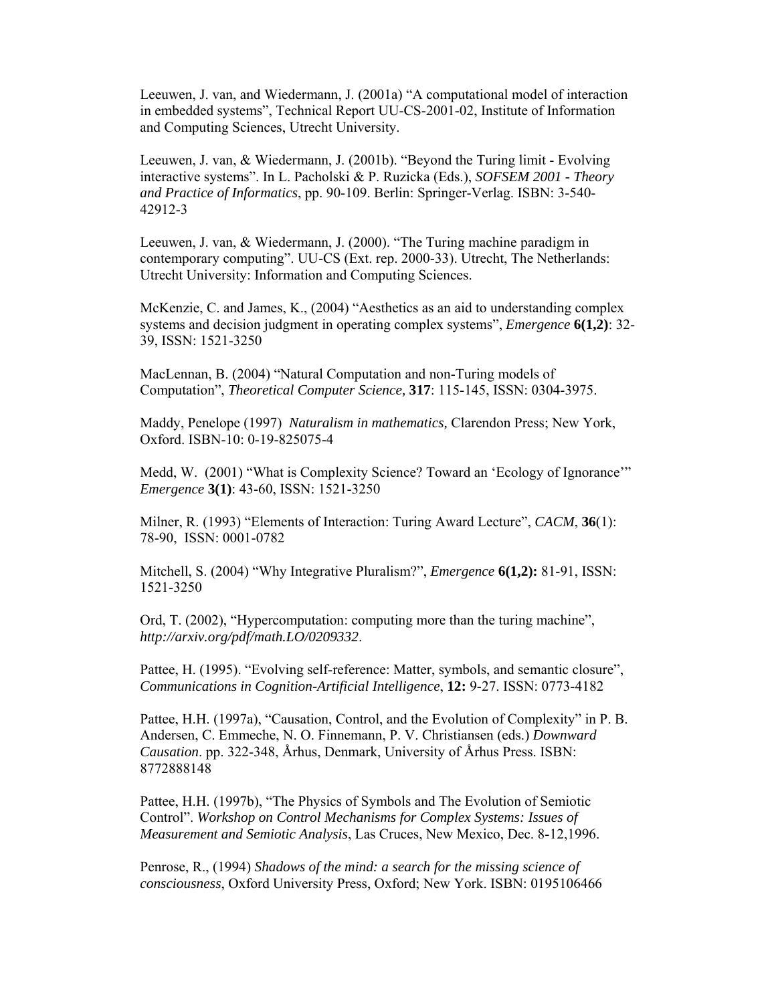Leeuwen, J. van, and Wiedermann, J. (2001a) "A computational model of interaction in embedded systems", Technical Report UU-CS-2001-02, Institute of Information and Computing Sciences, Utrecht University.

Leeuwen, J. van, & Wiedermann, J. (2001b). "Beyond the Turing limit - Evolving interactive systems". In L. Pacholski & P. Ruzicka (Eds.), *SOFSEM 2001 - Theory and Practice of Informatics*, pp. 90-109. Berlin: Springer-Verlag. ISBN: 3-540- 42912-3

Leeuwen, J. van, & Wiedermann, J. (2000). "The Turing machine paradigm in contemporary computing". UU-CS (Ext. rep. 2000-33). Utrecht, The Netherlands: Utrecht University: Information and Computing Sciences.

McKenzie, C. and James, K., (2004) "Aesthetics as an aid to understanding complex systems and decision judgment in operating complex systems", *Emergence* **6(1,2)**: 32- 39, ISSN: 1521-3250

MacLennan, B. (2004) "Natural Computation and non-Turing models of Computation", *Theoretical Computer Science,* **317**: 115-145, ISSN: 0304-3975.

Maddy, Penelope (1997) *Naturalism in mathematics,* Clarendon Press; New York, Oxford. ISBN-10: 0-19-825075-4

Medd, W. (2001) "What is Complexity Science? Toward an 'Ecology of Ignorance'" *Emergence* **3(1)**: 43-60, ISSN: 1521-3250

Milner, R. (1993) "Elements of Interaction: Turing Award Lecture", *CACM*, **36**(1): 78-90, ISSN: 0001-0782

Mitchell, S. (2004) "Why Integrative Pluralism?", *Emergence* **6(1,2):** 81-91, ISSN: 1521-3250

Ord, T. (2002), "Hypercomputation: computing more than the turing machine", *http://arxiv.org/pdf/math.LO/0209332*.

Pattee, H. (1995). "Evolving self-reference: Matter, symbols, and semantic closure", *Communications in Cognition-Artificial Intelligence*, **12:** 9-27. ISSN: 0773-4182

Pattee, H.H. (1997a), "Causation, Control, and the Evolution of Complexity" in P. B. Andersen, C. Emmeche, N. O. Finnemann, P. V. Christiansen (eds.) *Downward Causation*. pp. 322-348, Århus, Denmark, University of Århus Press. ISBN: 8772888148

Pattee, H.H. (1997b), "The Physics of Symbols and The Evolution of Semiotic Control". *Workshop on Control Mechanisms for Complex Systems: Issues of Measurement and Semiotic Analysis*, Las Cruces, New Mexico, Dec. 8-12,1996.

Penrose, R., (1994) *Shadows of the mind: a search for the missing science of consciousness*, Oxford University Press, Oxford; New York. ISBN: 0195106466